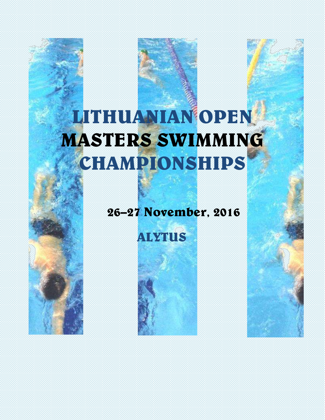# LITHUANIAN OPEN MASTERS SWIMMING CHAMPIONSHIPS

# 26–27 November, 2016

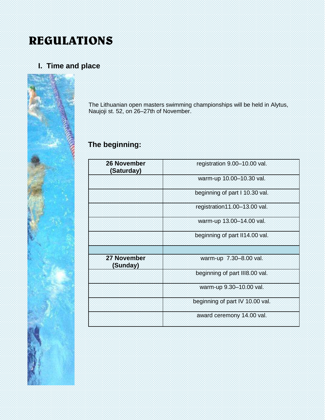# REGULATIONS

# **I. Time and place**



The Lithuanian open masters swimming championships will be held in Alytus, Naujoji st. 52, on 26–27th of November.

# **The beginning:**

| <b>26 November</b><br>(Saturday) | registration 9.00-10.00 val.    |
|----------------------------------|---------------------------------|
|                                  | warm-up 10.00-10.30 val.        |
|                                  | beginning of part I 10.30 val.  |
|                                  | registration11.00-13.00 val.    |
|                                  | warm-up 13.00-14.00 val.        |
|                                  | beginning of part II14.00 val.  |
|                                  |                                 |
| 27 November<br>(Sunday)          | warm-up 7.30-8.00 val.          |
|                                  | beginning of part III8.00 val.  |
|                                  | warm-up 9.30-10.00 val.         |
|                                  | beginning of part IV 10.00 val. |
|                                  | award ceremony 14.00 val.       |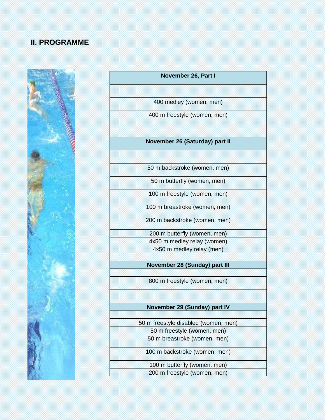# **II. PROGRAMME**



| November 26, Part I                  |  |  |  |  |  |  |  |  |
|--------------------------------------|--|--|--|--|--|--|--|--|
|                                      |  |  |  |  |  |  |  |  |
| 400 medley (women, men)              |  |  |  |  |  |  |  |  |
| 400 m freestyle (women, men)         |  |  |  |  |  |  |  |  |
|                                      |  |  |  |  |  |  |  |  |
| November 26 (Saturday) part II       |  |  |  |  |  |  |  |  |
|                                      |  |  |  |  |  |  |  |  |
| 50 m backstroke (women, men)         |  |  |  |  |  |  |  |  |
| 50 m butterfly (women, men)          |  |  |  |  |  |  |  |  |
| 100 m freestyle (women, men)         |  |  |  |  |  |  |  |  |
| 100 m breastroke (women, men)        |  |  |  |  |  |  |  |  |
| 200 m backstroke (women, men)        |  |  |  |  |  |  |  |  |
| 200 m butterfly (women, men)         |  |  |  |  |  |  |  |  |
| 4x50 m medley relay (women)          |  |  |  |  |  |  |  |  |
| 4x50 m medley relay (men)            |  |  |  |  |  |  |  |  |
|                                      |  |  |  |  |  |  |  |  |
| November 28 (Sunday) part III        |  |  |  |  |  |  |  |  |
| 800 m freestyle (women, men)         |  |  |  |  |  |  |  |  |
|                                      |  |  |  |  |  |  |  |  |
| November 29 (Sunday) part IV         |  |  |  |  |  |  |  |  |
| 50 m freestyle disabled (women, men) |  |  |  |  |  |  |  |  |
| 50 m freestyle (women, men)          |  |  |  |  |  |  |  |  |
| 50 m breastroke (women, men)         |  |  |  |  |  |  |  |  |
| 100 m backstroke (women, men)        |  |  |  |  |  |  |  |  |
| 100 m butterfly (women, men)         |  |  |  |  |  |  |  |  |
| 200 m freestyle (women, men)         |  |  |  |  |  |  |  |  |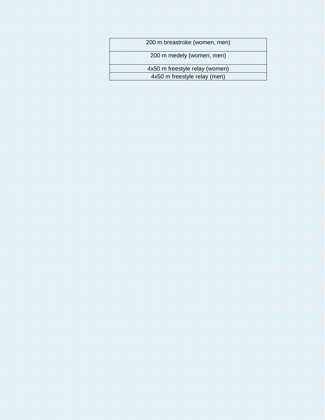| 200 m breastroke (women, men)  |
|--------------------------------|
| 200 m medely (women, men)      |
| 4x50 m freestyle relay (women) |
| 4x50 m freestyle relay (men)   |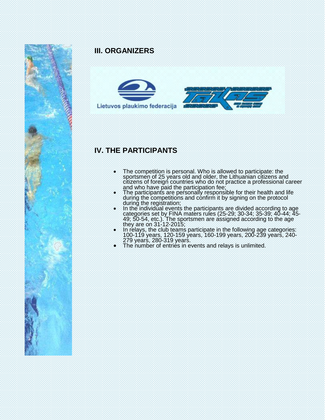

### **III. ORGANIZERS**



## **IV. THE PARTICIPANTS**

- The competition is personal. Who is allowed to participate: the sportsmen of 25 years old and older, the Lithuanian citizens and citizens of foreign countries who do not practice a professional career and who have paid the participation fee;
- The participants are personally responsible for their health and life during the competitions and confirm it by signing on the protocol during the registration;
- In the individual events the participants are divided according to age categories set by FINA maters rules (25-29; 30-34; 35-39; 40-44; 45- 49; 50-54, etc.). The sportsmen are assigned according to the age they are on 31-12-2015;
- In relays, the club teams participate in the following age categories: 100-119 years, 120-159 years, 160-199 years, 200-239 years, 240- 279 years, 280-319 years.
- The number of entries in events and relays is unlimited.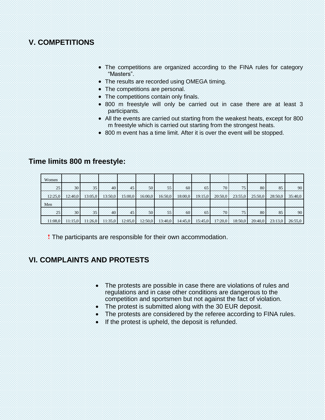#### **V. COMPETITIONS**

- The competitions are organized according to the FINA rules for category "Masters".
- The results are recorded using OMEGA timing.
- The competitions are personal.
- The competitions contain only finals.
- 800 m freestyle will only be carried out in case there are at least 3 participants.
- All the events are carried out starting from the weakest heats, except for 800 m freestyle which is carried out starting from the strongest heats.
- 800 m event has a time limit. After it is over the event will be stopped.

#### **Time limits 800 m freestyle:**

| Women   |                 |         |         |         |         |         |         |         |         |                 |         |         |         |
|---------|-----------------|---------|---------|---------|---------|---------|---------|---------|---------|-----------------|---------|---------|---------|
| 25      | 30              | 35      | 40      | 45      | 50      | 55      | 60      | 65      | 70      | 75 <sup>1</sup> | 80      | 85      | 90      |
| 12:25.0 | 12:40.0         | 13:05.0 | 13:50.0 | 15:00,0 | 16:00.0 | 16:50.0 | 18:00.0 | 19:15.0 | 20:50,0 | 23:55.0         | 25:50,0 | 28:50,0 | 35:40,0 |
| Men     |                 |         |         |         |         |         |         |         |         |                 |         |         |         |
| 25      | 30 <sub>1</sub> | 35      | 40      | 45      | 50      | 55      | 60      | 65      | 70      | 75              | 80      | 85      | 90      |
| 11:08.0 | 11:15.0         | 11:26.0 | 11:35,0 | 12:05,0 | 12:50,0 | 13:40.0 | 14:45,0 | 15:45,0 | 17:20,0 | 18:50,0         | 20:40,0 | 23:13.0 | 26:55,0 |

! The participants are responsible for their own accommodation.

#### **VI. COMPLAINTS AND PROTESTS**

- The protests are possible in case there are violations of rules and regulations and in case other conditions are dangerous to the competition and sportsmen but not against the fact of violation.
- The protest is submitted along with the 30 EUR deposit.
- The protests are considered by the referee according to FINA rules.
- If the protest is upheld, the deposit is refunded.